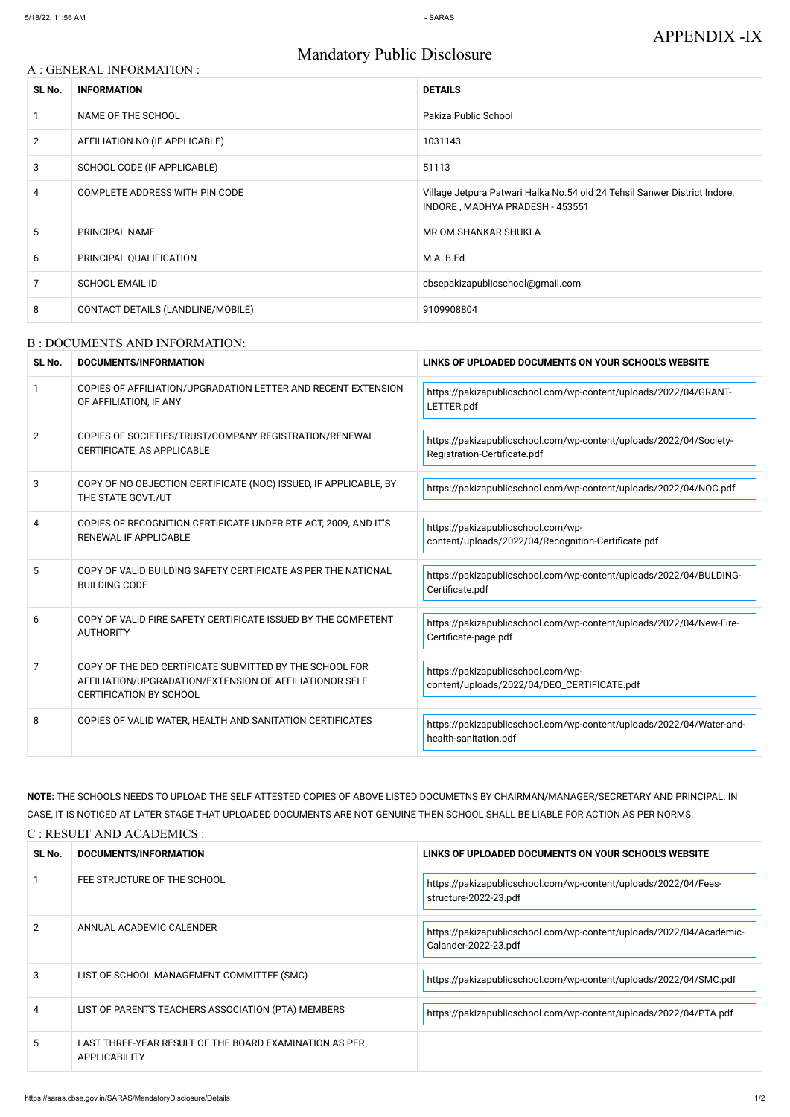# Mandatory Public Disclosure

### A : GENERAL INFORMATION :

| SL No.         | <b>INFORMATION</b>                | <b>DETAILS</b>                                                                                               |
|----------------|-----------------------------------|--------------------------------------------------------------------------------------------------------------|
|                | NAME OF THE SCHOOL                | Pakiza Public School                                                                                         |
| $\overline{2}$ | AFFILIATION NO. (IF APPLICABLE)   | 1031143                                                                                                      |
| 3              | SCHOOL CODE (IF APPLICABLE)       | 51113                                                                                                        |
| 4              | COMPLETE ADDRESS WITH PIN CODE    | Village Jetpura Patwari Halka No.54 old 24 Tehsil Sanwer District Indore,<br>INDORE, MADHYA PRADESH - 453551 |
| 5.             | PRINCIPAL NAME                    | MR OM SHANKAR SHUKLA                                                                                         |
| 6              | PRINCIPAL QUALIFICATION           | M.A. B.Ed.                                                                                                   |
| 7              | <b>SCHOOL EMAIL ID</b>            | cbsepakizapublicschool@gmail.com                                                                             |
| 8              | CONTACT DETAILS (LANDLINE/MOBILE) | 9109908804                                                                                                   |

#### B : DOCUMENTS AND INFORMATION:

| SL No.       | DOCUMENTS/INFORMATION                                                                                                                                | LINKS OF UPLOADED DOCUMENTS ON YOUR SCHOOL'S WEBSITE                                               |  |
|--------------|------------------------------------------------------------------------------------------------------------------------------------------------------|----------------------------------------------------------------------------------------------------|--|
| $\mathbf{1}$ | COPIES OF AFFILIATION/UPGRADATION LETTER AND RECENT EXTENSION<br>OF AFFILIATION, IF ANY                                                              | https://pakizapublicschool.com/wp-content/uploads/2022/04/GRANT-<br>LETTER.pdf                     |  |
| 2            | COPIES OF SOCIETIES/TRUST/COMPANY REGISTRATION/RENEWAL<br>CERTIFICATE, AS APPLICABLE                                                                 | https://pakizapublicschool.com/wp-content/uploads/2022/04/Society-<br>Registration-Certificate.pdf |  |
| 3            | COPY OF NO OBJECTION CERTIFICATE (NOC) ISSUED, IF APPLICABLE, BY<br>THE STATE GOVT./UT                                                               | https://pakizapublicschool.com/wp-content/uploads/2022/04/NOC.pdf                                  |  |
| 4            | COPIES OF RECOGNITION CERTIFICATE UNDER RTE ACT, 2009, AND IT'S<br>RENEWAL IF APPLICABLE                                                             | https://pakizapublicschool.com/wp-<br>content/uploads/2022/04/Recognition-Certificate.pdf          |  |
| 5            | COPY OF VALID BUILDING SAFETY CERTIFICATE AS PER THE NATIONAL<br><b>BUILDING CODE</b>                                                                | https://pakizapublicschool.com/wp-content/uploads/2022/04/BULDING-<br>Certificate.pdf              |  |
| 6            | COPY OF VALID FIRE SAFETY CERTIFICATE ISSUED BY THE COMPETENT<br><b>AUTHORITY</b>                                                                    | https://pakizapublicschool.com/wp-content/uploads/2022/04/New-Fire-<br>Certificate-page.pdf        |  |
| 7            | COPY OF THE DEO CERTIFICATE SUBMITTED BY THE SCHOOL FOR<br>AFFILIATION/UPGRADATION/EXTENSION OF AFFILIATIONOR SELF<br><b>CERTIFICATION BY SCHOOL</b> | https://pakizapublicschool.com/wp-<br>content/uploads/2022/04/DEO_CERTIFICATE.pdf                  |  |
| 8            | COPIES OF VALID WATER, HEALTH AND SANITATION CERTIFICATES                                                                                            | https://pakizapublicschool.com/wp-content/uploads/2022/04/Water-and-<br>health-sanitation.pdf      |  |

**NOTE:** THE SCHOOLS NEEDS TO UPLOAD THE SELF ATTESTED COPIES OF ABOVE LISTED DOCUMETNS BY CHAIRMAN/MANAGER/SECRETARY AND PRINCIPAL. IN CASE, IT IS NOTICED AT LATER STAGE THAT UPLOADED DOCUMENTS ARE NOT GENUINE THEN SCHOOL SHALL BE LIABLE FOR ACTION AS PER NORMS. C : RESULT AND ACADEMICS :

| SL No. | DOCUMENTS/INFORMATION                                                          | LINKS OF UPLOADED DOCUMENTS ON YOUR SCHOOL'S WEBSITE                                        |
|--------|--------------------------------------------------------------------------------|---------------------------------------------------------------------------------------------|
|        | FEE STRUCTURE OF THE SCHOOL                                                    | https://pakizapublicschool.com/wp-content/uploads/2022/04/Fees-<br>structure-2022-23.pdf    |
| 2      | ANNUAL ACADEMIC CALENDER                                                       | https://pakizapublicschool.com/wp-content/uploads/2022/04/Academic-<br>Calander-2022-23.pdf |
| 3      | LIST OF SCHOOL MANAGEMENT COMMITTEE (SMC)                                      | https://pakizapublicschool.com/wp-content/uploads/2022/04/SMC.pdf                           |
| 4      | LIST OF PARENTS TEACHERS ASSOCIATION (PTA) MEMBERS                             | https://pakizapublicschool.com/wp-content/uploads/2022/04/PTA.pdf                           |
| 5      | LAST THREE-YEAR RESULT OF THE BOARD EXAMINATION AS PER<br><b>APPLICABILITY</b> |                                                                                             |